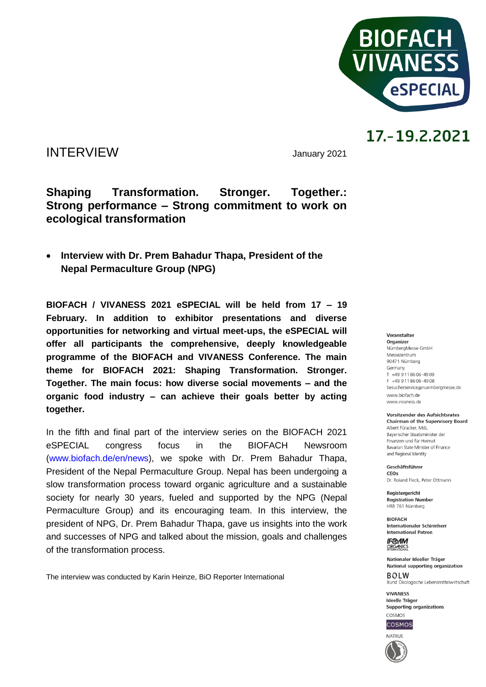

### INTERVIEW January <sup>2021</sup>

### **Shaping Transformation. Stronger. Together.: Strong performance – Strong commitment to work on ecological transformation**

 **Interview with Dr. Prem Bahadur Thapa, President of the Nepal Permaculture Group (NPG)**

**BIOFACH / VIVANESS 2021 eSPECIAL will be held from 17 – 19 February. In addition to exhibitor presentations and diverse opportunities for networking and virtual meet-ups, the eSPECIAL will offer all participants the comprehensive, deeply knowledgeable programme of the BIOFACH and VIVANESS Conference. The main theme for BIOFACH 2021: Shaping Transformation. Stronger. Together. The main focus: how diverse social movements – and the organic food industry – can achieve their goals better by acting together.**

In the fifth and final part of the interview series on the BIOFACH 2021 eSPECIAL congress focus in the BIOFACH Newsroom [\(www.biofach.de/en/news\)](http://www.biofach.de/en/news), we spoke with Dr. Prem Bahadur Thapa, President of the Nepal Permaculture Group. Nepal has been undergoing a slow transformation process toward organic agriculture and a sustainable society for nearly 30 years, fueled and supported by the NPG (Nepal Permaculture Group) and its encouraging team. In this interview, the president of NPG, Dr. Prem Bahadur Thapa, gave us insights into the work and successes of NPG and talked about the mission, goals and challenges of the transformation process.

The interview was conducted by Karin Heinze, BiO Reporter International

#### Veranstalter

Organizer NürnbergMesse GmbH Messezentrum 90471 Nürnberg Germany  $T + 499118606 - 4909$ F +49 9 11 86 06 - 49 08 besucherservice@nuernbergmesse.de www.biofach.de www.vivaness.de

**Vorsitzender des Aufsichtsrates Chairman of the Supervisory Board** 

Albert Füracker, MdL Bayerischer Staatsminister der Finanzen und für Heimat Bavarian State Minister of Finance and Regional Identity

Geschäftsführer CEOS Dr. Roland Eleck, Peter Ottmann

Registergericht **Registration Number** HRB 761 Nürnberg

**BIOFACH** Internationaler Schirmherr **International Patron** 

**IF®AM** ORGANICS

Nationaler Ideeller Träger National supporting organization  $ROIM$ Bund Ökologische Lebensmittelwirtschaft

**VIVANESS** Ideelle Träger Supporting organizations



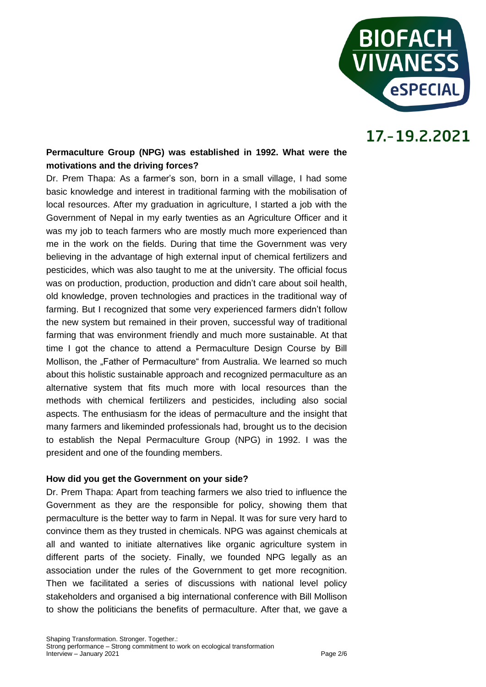

### **Permaculture Group (NPG) was established in 1992. What were the motivations and the driving forces?**

Dr. Prem Thapa: As a farmer's son, born in a small village, I had some basic knowledge and interest in traditional farming with the mobilisation of local resources. After my graduation in agriculture, I started a job with the Government of Nepal in my early twenties as an Agriculture Officer and it was my job to teach farmers who are mostly much more experienced than me in the work on the fields. During that time the Government was very believing in the advantage of high external input of chemical fertilizers and pesticides, which was also taught to me at the university. The official focus was on production, production, production and didn't care about soil health, old knowledge, proven technologies and practices in the traditional way of farming. But I recognized that some very experienced farmers didn't follow the new system but remained in their proven, successful way of traditional farming that was environment friendly and much more sustainable. At that time I got the chance to attend a Permaculture Design Course by Bill Mollison, the "Father of Permaculture" from Australia. We learned so much about this holistic sustainable approach and recognized permaculture as an alternative system that fits much more with local resources than the methods with chemical fertilizers and pesticides, including also social aspects. The enthusiasm for the ideas of permaculture and the insight that many farmers and likeminded professionals had, brought us to the decision to establish the Nepal Permaculture Group (NPG) in 1992. I was the president and one of the founding members.

#### **How did you get the Government on your side?**

Dr. Prem Thapa: Apart from teaching farmers we also tried to influence the Government as they are the responsible for policy, showing them that permaculture is the better way to farm in Nepal. It was for sure very hard to convince them as they trusted in chemicals. NPG was against chemicals at all and wanted to initiate alternatives like organic agriculture system in different parts of the society. Finally, we founded NPG legally as an association under the rules of the Government to get more recognition. Then we facilitated a series of discussions with national level policy stakeholders and organised a big international conference with Bill Mollison to show the politicians the benefits of permaculture. After that, we gave a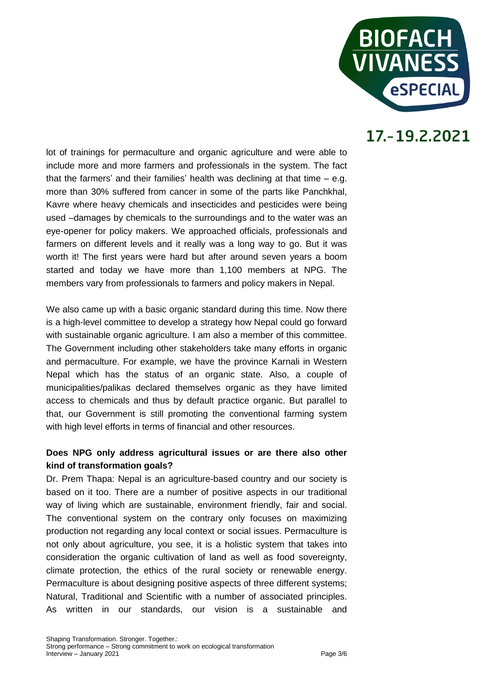

lot of trainings for permaculture and organic agriculture and were able to include more and more farmers and professionals in the system. The fact that the farmers' and their families' health was declining at that time – e.g. more than 30% suffered from cancer in some of the parts like Panchkhal, Kavre where heavy chemicals and insecticides and pesticides were being used –damages by chemicals to the surroundings and to the water was an eye-opener for policy makers. We approached officials, professionals and farmers on different levels and it really was a long way to go. But it was worth it! The first years were hard but after around seven years a boom started and today we have more than 1,100 members at NPG. The members vary from professionals to farmers and policy makers in Nepal.

We also came up with a basic organic standard during this time. Now there is a high-level committee to develop a strategy how Nepal could go forward with sustainable organic agriculture. I am also a member of this committee. The Government including other stakeholders take many efforts in organic and permaculture. For example, we have the province Karnali in Western Nepal which has the status of an organic state. Also, a couple of municipalities/palikas declared themselves organic as they have limited access to chemicals and thus by default practice organic. But parallel to that, our Government is still promoting the conventional farming system with high level efforts in terms of financial and other resources.

#### **Does NPG only address agricultural issues or are there also other kind of transformation goals?**

Dr. Prem Thapa: Nepal is an agriculture-based country and our society is based on it too. There are a number of positive aspects in our traditional way of living which are sustainable, environment friendly, fair and social. The conventional system on the contrary only focuses on maximizing production not regarding any local context or social issues. Permaculture is not only about agriculture, you see, it is a holistic system that takes into consideration the organic cultivation of land as well as food sovereignty, climate protection, the ethics of the rural society or renewable energy. Permaculture is about designing positive aspects of three different systems; Natural, Traditional and Scientific with a number of associated principles. As written in our standards, our vision is a sustainable and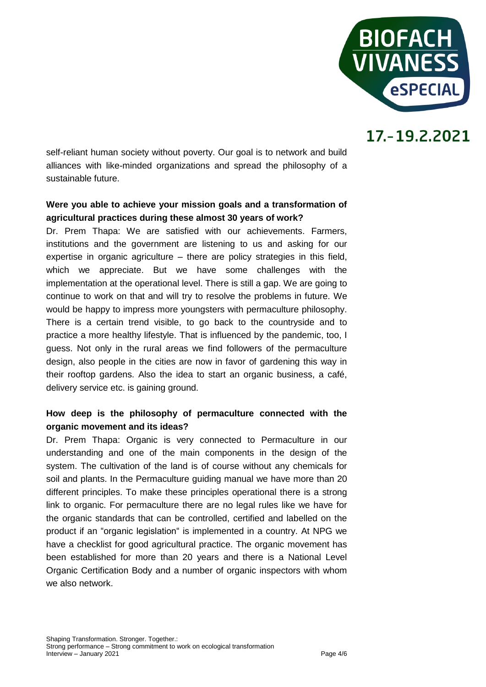

self-reliant human society without poverty. Our goal is to network and build alliances with like-minded organizations and spread the philosophy of a sustainable future.

#### **Were you able to achieve your mission goals and a transformation of agricultural practices during these almost 30 years of work?**

Dr. Prem Thapa: We are satisfied with our achievements. Farmers, institutions and the government are listening to us and asking for our expertise in organic agriculture – there are policy strategies in this field, which we appreciate. But we have some challenges with the implementation at the operational level. There is still a gap. We are going to continue to work on that and will try to resolve the problems in future. We would be happy to impress more youngsters with permaculture philosophy. There is a certain trend visible, to go back to the countryside and to practice a more healthy lifestyle. That is influenced by the pandemic, too, I guess. Not only in the rural areas we find followers of the permaculture design, also people in the cities are now in favor of gardening this way in their rooftop gardens. Also the idea to start an organic business, a café, delivery service etc. is gaining ground.

### **How deep is the philosophy of permaculture connected with the organic movement and its ideas?**

Dr. Prem Thapa: Organic is very connected to Permaculture in our understanding and one of the main components in the design of the system. The cultivation of the land is of course without any chemicals for soil and plants. In the Permaculture guiding manual we have more than 20 different principles. To make these principles operational there is a strong link to organic. For permaculture there are no legal rules like we have for the organic standards that can be controlled, certified and labelled on the product if an "organic legislation" is implemented in a country. At NPG we have a checklist for good agricultural practice. The organic movement has been established for more than 20 years and there is a National Level Organic Certification Body and a number of organic inspectors with whom we also network.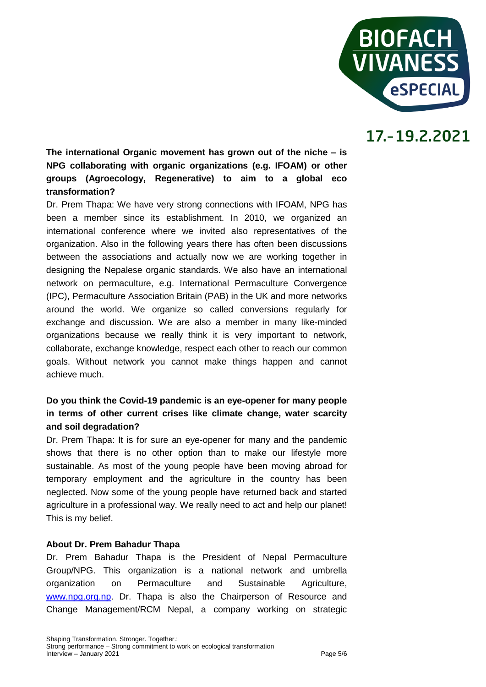

**The international Organic movement has grown out of the niche – is NPG collaborating with organic organizations (e.g. IFOAM) or other groups (Agroecology, Regenerative) to aim to a global eco transformation?**

Dr. Prem Thapa: We have very strong connections with IFOAM, NPG has been a member since its establishment. In 2010, we organized an international conference where we invited also representatives of the organization. Also in the following years there has often been discussions between the associations and actually now we are working together in designing the Nepalese organic standards. We also have an international network on permaculture, e.g. International Permaculture Convergence (IPC), Permaculture Association Britain (PAB) in the UK and more networks around the world. We organize so called conversions regularly for exchange and discussion. We are also a member in many like-minded organizations because we really think it is very important to network, collaborate, exchange knowledge, respect each other to reach our common goals. Without network you cannot make things happen and cannot achieve much.

### **Do you think the Covid-19 pandemic is an eye-opener for many people in terms of other current crises like climate change, water scarcity and soil degradation?**

Dr. Prem Thapa: It is for sure an eye-opener for many and the pandemic shows that there is no other option than to make our lifestyle more sustainable. As most of the young people have been moving abroad for temporary employment and the agriculture in the country has been neglected. Now some of the young people have returned back and started agriculture in a professional way. We really need to act and help our planet! This is my belief.

#### **About Dr. Prem Bahadur Thapa**

Dr. Prem Bahadur Thapa is the President of Nepal Permaculture Group/NPG. This organization is a national network and umbrella organization on Permaculture and Sustainable Agriculture, [www.npg.org.np.](http://www.npg.org.np/) Dr. Thapa is also the Chairperson of Resource and Change Management/RCM Nepal, a company working on strategic